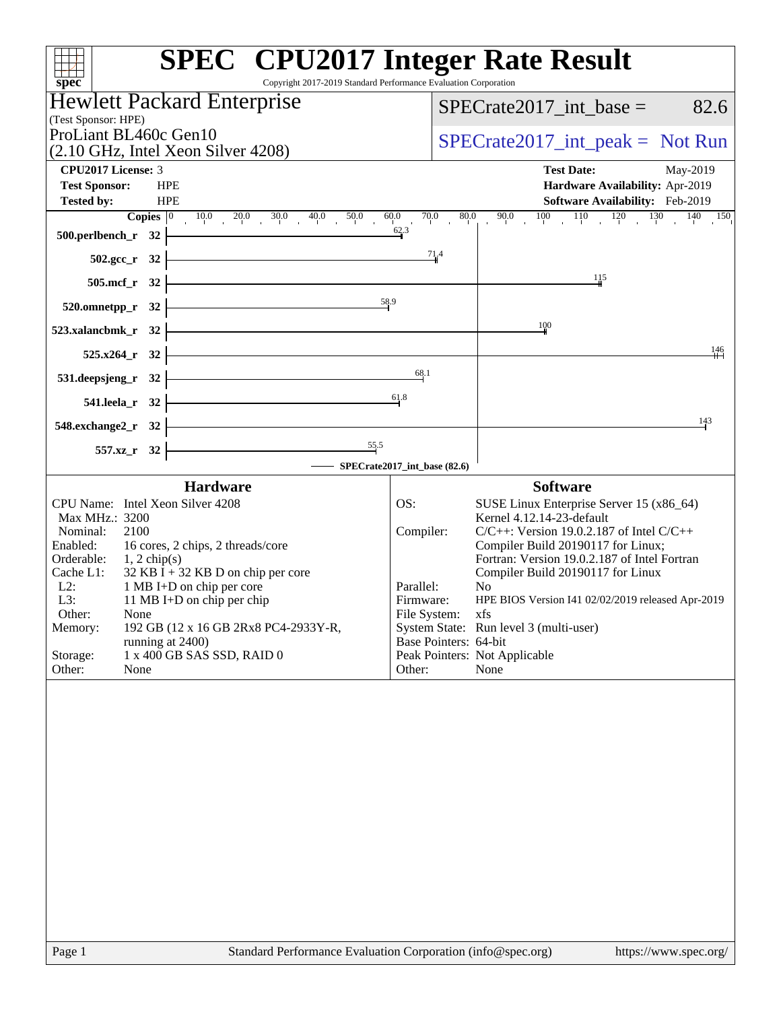| Copyright 2017-2019 Standard Performance Evaluation Corporation                          | <b>SPEC<sup>®</sup></b> CPU2017 Integer Rate Result                                              |
|------------------------------------------------------------------------------------------|--------------------------------------------------------------------------------------------------|
| spec <sup>®</sup><br><b>Hewlett Packard Enterprise</b>                                   |                                                                                                  |
| (Test Sponsor: HPE)                                                                      | 82.6<br>$SPECrate2017$ int base =                                                                |
| ProLiant BL460c Gen10                                                                    | $SPECrate2017\_int\_peak = Not Run$                                                              |
| (2.10 GHz, Intel Xeon Silver 4208)                                                       |                                                                                                  |
| <b>CPU2017 License: 3</b><br><b>Test Sponsor:</b><br><b>HPE</b>                          | <b>Test Date:</b><br>May-2019<br>Hardware Availability: Apr-2019                                 |
| <b>Tested by:</b><br><b>HPE</b>                                                          | Software Availability: Feb-2019                                                                  |
| <b>Copies</b> $\begin{bmatrix} 0 & 10.0 & 20.0 & 30.0 & 40.0 & 50.0 \end{bmatrix}$       | $90.0$ $100$ $110$ $120$ $130$ $140$ $150$<br>70.0<br>80.0<br>60.0                               |
| $500.$ perlbench_r 32                                                                    | 62.3                                                                                             |
| $502.\text{sec}_r$ 32                                                                    | 71.4                                                                                             |
| 505.mcf_r 32                                                                             | 11.5                                                                                             |
| 58.9                                                                                     |                                                                                                  |
| $520.0$ mnetpp_r 32                                                                      |                                                                                                  |
| 523.xalancbmk_r 32                                                                       | $\frac{100}{2}$                                                                                  |
| 525.x264 r 32                                                                            | 146                                                                                              |
| <u> 1989 - Johann Barn, mars ann an t-Amhain</u><br>531.deepsjeng_r 32                   | 68.1                                                                                             |
| 541.leela_r 32                                                                           | 61.8                                                                                             |
| 548.exchange2_r 32                                                                       | 143                                                                                              |
|                                                                                          |                                                                                                  |
| $\frac{55.5}{2}$<br>557.xz_r 32                                                          | - SPECrate2017_int_base (82.6)                                                                   |
| <b>Hardware</b>                                                                          | <b>Software</b>                                                                                  |
| CPU Name: Intel Xeon Silver 4208                                                         | OS:<br>SUSE Linux Enterprise Server 15 (x86_64)                                                  |
| Max MHz.: 3200                                                                           | Kernel 4.12.14-23-default                                                                        |
| Nominal:<br>2100<br>Enabled:<br>16 cores, 2 chips, 2 threads/core                        | $C/C++$ : Version 19.0.2.187 of Intel $C/C++$<br>Compiler:<br>Compiler Build 20190117 for Linux; |
| Orderable:<br>$1, 2$ chip(s)                                                             | Fortran: Version 19.0.2.187 of Intel Fortran                                                     |
| $32$ KB I + 32 KB D on chip per core<br>Cache L1:<br>$L2$ :<br>1 MB I+D on chip per core | Compiler Build 20190117 for Linux<br>Parallel:<br>N <sub>0</sub>                                 |
| 11 MB I+D on chip per chip<br>L3:                                                        | Firmware:<br>HPE BIOS Version I41 02/02/2019 released Apr-2019                                   |
| Other:<br>None                                                                           | File System:<br>xts                                                                              |
| 192 GB (12 x 16 GB 2Rx8 PC4-2933Y-R,<br>Memory:<br>running at 2400)                      | System State: Run level 3 (multi-user)<br>Base Pointers: 64-bit                                  |
| 1 x 400 GB SAS SSD, RAID 0<br>Storage:                                                   | Peak Pointers: Not Applicable                                                                    |
| Other:<br>None                                                                           | Other:<br>None                                                                                   |
|                                                                                          |                                                                                                  |
| Page 1                                                                                   | Standard Performance Evaluation Corporation (info@spec.org)<br>https://www.spec.org/             |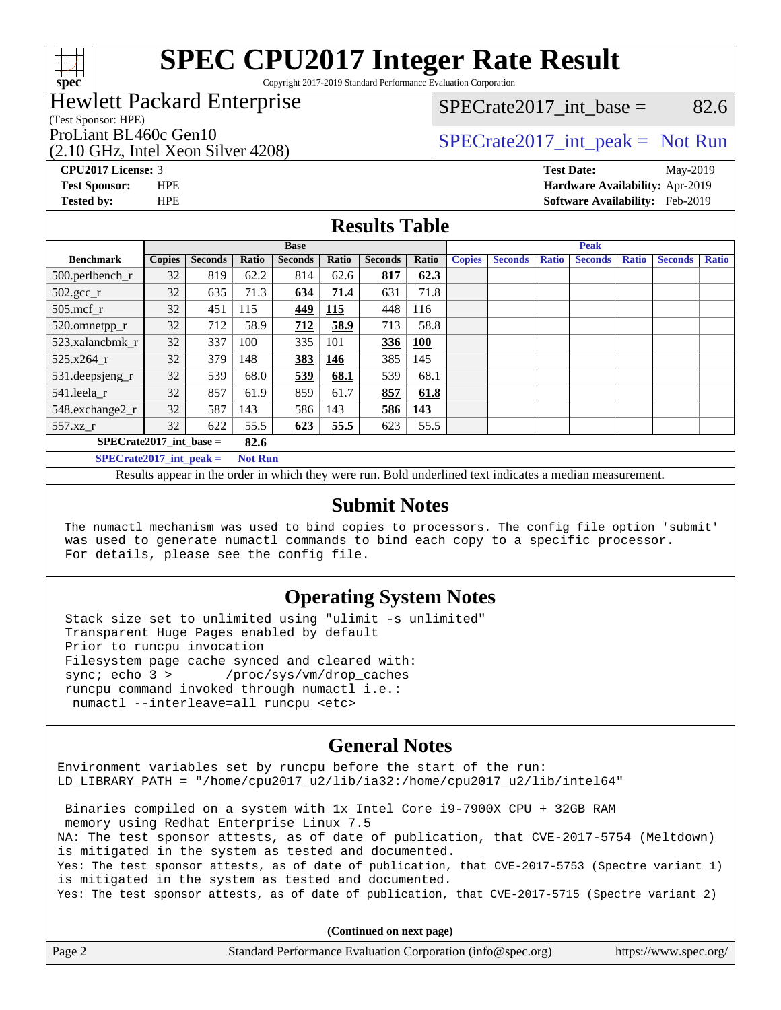

Copyright 2017-2019 Standard Performance Evaluation Corporation

# Hewlett Packard Enterprise

(Test Sponsor: HPE)

(2.10 GHz, Intel Xeon Silver 4208)

SPECrate2017 int\_base =  $82.6$ 

# ProLiant BL460c Gen10<br>  $SPECTA 10$  [SPECrate2017\\_int\\_peak =](http://www.spec.org/auto/cpu2017/Docs/result-fields.html#SPECrate2017intpeak) Not Run

**[Tested by:](http://www.spec.org/auto/cpu2017/Docs/result-fields.html#Testedby)** HPE **[Software Availability:](http://www.spec.org/auto/cpu2017/Docs/result-fields.html#SoftwareAvailability)** Feb-2019

**[CPU2017 License:](http://www.spec.org/auto/cpu2017/Docs/result-fields.html#CPU2017License)** 3 **[Test Date:](http://www.spec.org/auto/cpu2017/Docs/result-fields.html#TestDate)** May-2019 **[Test Sponsor:](http://www.spec.org/auto/cpu2017/Docs/result-fields.html#TestSponsor)** HPE **[Hardware Availability:](http://www.spec.org/auto/cpu2017/Docs/result-fields.html#HardwareAvailability)** Apr-2019

### **[Results Table](http://www.spec.org/auto/cpu2017/Docs/result-fields.html#ResultsTable)**

|                                             | <b>Base</b>   |                |       |                |       | <b>Peak</b>    |            |               |                |              |                |              |                |              |
|---------------------------------------------|---------------|----------------|-------|----------------|-------|----------------|------------|---------------|----------------|--------------|----------------|--------------|----------------|--------------|
| <b>Benchmark</b>                            | <b>Copies</b> | <b>Seconds</b> | Ratio | <b>Seconds</b> | Ratio | <b>Seconds</b> | Ratio      | <b>Copies</b> | <b>Seconds</b> | <b>Ratio</b> | <b>Seconds</b> | <b>Ratio</b> | <b>Seconds</b> | <b>Ratio</b> |
| $500.$ perlbench_r                          | 32            | 819            | 62.2  | 814            | 62.6  | 817            | 62.3       |               |                |              |                |              |                |              |
| $502.\text{gcc}$ <sub>r</sub>               | 32            | 635            | 71.3  | 634            | 71.4  | 631            | 71.8       |               |                |              |                |              |                |              |
| $505$ .mcf r                                | 32            | 451            | 115   | 449            | 115   | 448            | 116        |               |                |              |                |              |                |              |
| 520.omnetpp_r                               | 32            | 712            | 58.9  | 712            | 58.9  | 713            | 58.8       |               |                |              |                |              |                |              |
| 523.xalancbmk r                             | 32            | 337            | 100   | 335            | 101   | 336            | <b>100</b> |               |                |              |                |              |                |              |
| 525.x264 r                                  | 32            | 379            | 148   | 383            | 146   | 385            | 145        |               |                |              |                |              |                |              |
| $531.$ deepsjeng $_r$                       | 32            | 539            | 68.0  | 539            | 68.1  | 539            | 68.1       |               |                |              |                |              |                |              |
| 541.leela r                                 | 32            | 857            | 61.9  | 859            | 61.7  | 857            | 61.8       |               |                |              |                |              |                |              |
| 548.exchange2_r                             | 32            | 587            | 143   | 586            | 143   | 586            | 143        |               |                |              |                |              |                |              |
| 557.xz r                                    | 32            | 622            | 55.5  | 623            | 55.5  | 623            | 55.5       |               |                |              |                |              |                |              |
| $SPECrate2017$ int base =<br>82.6           |               |                |       |                |       |                |            |               |                |              |                |              |                |              |
| SPECrate2017 int peak $=$<br><b>Not Run</b> |               |                |       |                |       |                |            |               |                |              |                |              |                |              |

Results appear in the [order in which they were run.](http://www.spec.org/auto/cpu2017/Docs/result-fields.html#RunOrder) Bold underlined text [indicates a median measurement.](http://www.spec.org/auto/cpu2017/Docs/result-fields.html#Median)

#### **[Submit Notes](http://www.spec.org/auto/cpu2017/Docs/result-fields.html#SubmitNotes)**

 The numactl mechanism was used to bind copies to processors. The config file option 'submit' was used to generate numactl commands to bind each copy to a specific processor. For details, please see the config file.

### **[Operating System Notes](http://www.spec.org/auto/cpu2017/Docs/result-fields.html#OperatingSystemNotes)**

 Stack size set to unlimited using "ulimit -s unlimited" Transparent Huge Pages enabled by default Prior to runcpu invocation Filesystem page cache synced and cleared with: sync; echo 3 > /proc/sys/vm/drop\_caches runcpu command invoked through numactl i.e.: numactl --interleave=all runcpu <etc>

## **[General Notes](http://www.spec.org/auto/cpu2017/Docs/result-fields.html#GeneralNotes)**

Environment variables set by runcpu before the start of the run: LD\_LIBRARY\_PATH = "/home/cpu2017\_u2/lib/ia32:/home/cpu2017\_u2/lib/intel64"

 Binaries compiled on a system with 1x Intel Core i9-7900X CPU + 32GB RAM memory using Redhat Enterprise Linux 7.5 NA: The test sponsor attests, as of date of publication, that CVE-2017-5754 (Meltdown) is mitigated in the system as tested and documented. Yes: The test sponsor attests, as of date of publication, that CVE-2017-5753 (Spectre variant 1) is mitigated in the system as tested and documented. Yes: The test sponsor attests, as of date of publication, that CVE-2017-5715 (Spectre variant 2)

**(Continued on next page)**

| Page 2 | Standard Performance Evaluation Corporation (info@spec.org) | https://www.spec.org/ |
|--------|-------------------------------------------------------------|-----------------------|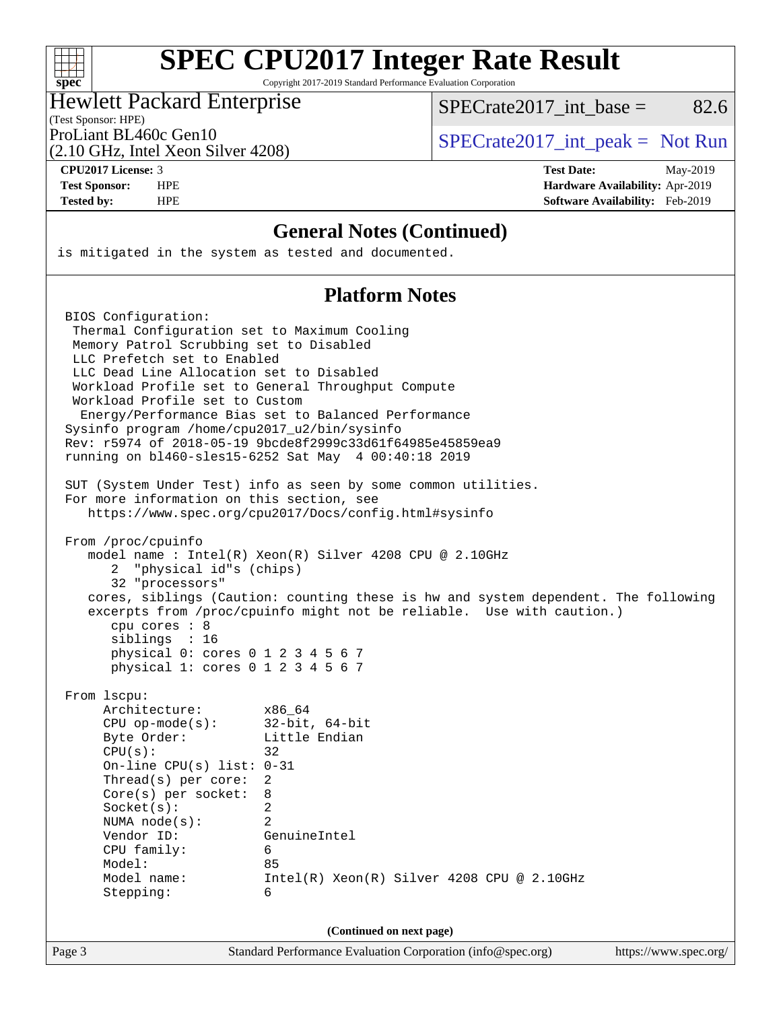

Copyright 2017-2019 Standard Performance Evaluation Corporation

### Hewlett Packard Enterprise

SPECrate  $2017$  int base = 82.6

(Test Sponsor: HPE)

(2.10 GHz, Intel Xeon Silver 4208)

ProLiant BL460c Gen10<br>  $SPECTA 10$  [SPECrate2017\\_int\\_peak =](http://www.spec.org/auto/cpu2017/Docs/result-fields.html#SPECrate2017intpeak) Not Run

**[CPU2017 License:](http://www.spec.org/auto/cpu2017/Docs/result-fields.html#CPU2017License)** 3 **[Test Date:](http://www.spec.org/auto/cpu2017/Docs/result-fields.html#TestDate)** May-2019 **[Test Sponsor:](http://www.spec.org/auto/cpu2017/Docs/result-fields.html#TestSponsor)** HPE **[Hardware Availability:](http://www.spec.org/auto/cpu2017/Docs/result-fields.html#HardwareAvailability)** Apr-2019 **[Tested by:](http://www.spec.org/auto/cpu2017/Docs/result-fields.html#Testedby)** HPE **[Software Availability:](http://www.spec.org/auto/cpu2017/Docs/result-fields.html#SoftwareAvailability)** Feb-2019

### **[General Notes \(Continued\)](http://www.spec.org/auto/cpu2017/Docs/result-fields.html#GeneralNotes)**

is mitigated in the system as tested and documented.

## **[Platform Notes](http://www.spec.org/auto/cpu2017/Docs/result-fields.html#PlatformNotes)**

 BIOS Configuration: Thermal Configuration set to Maximum Cooling Memory Patrol Scrubbing set to Disabled LLC Prefetch set to Enabled LLC Dead Line Allocation set to Disabled Workload Profile set to General Throughput Compute Workload Profile set to Custom Energy/Performance Bias set to Balanced Performance Sysinfo program /home/cpu2017\_u2/bin/sysinfo Rev: r5974 of 2018-05-19 9bcde8f2999c33d61f64985e45859ea9 running on bl460-sles15-6252 Sat May 4 00:40:18 2019 SUT (System Under Test) info as seen by some common utilities. For more information on this section, see <https://www.spec.org/cpu2017/Docs/config.html#sysinfo> From /proc/cpuinfo model name : Intel(R) Xeon(R) Silver 4208 CPU @ 2.10GHz 2 "physical id"s (chips) 32 "processors" cores, siblings (Caution: counting these is hw and system dependent. The following excerpts from /proc/cpuinfo might not be reliable. Use with caution.) cpu cores : 8 siblings : 16 physical 0: cores 0 1 2 3 4 5 6 7 physical 1: cores 0 1 2 3 4 5 6 7 From lscpu: Architecture: x86\_64 CPU op-mode(s): 32-bit, 64-bit Byte Order: Little Endian  $CPU(s):$  32 On-line CPU(s) list: 0-31 Thread(s) per core: 2 Core(s) per socket: 8 Socket(s): 2 NUMA node(s): 2 Vendor ID: GenuineIntel CPU family: 6 Model: 85 Model name: Intel(R) Xeon(R) Silver 4208 CPU @ 2.10GHz Stepping: 6 **(Continued on next page)**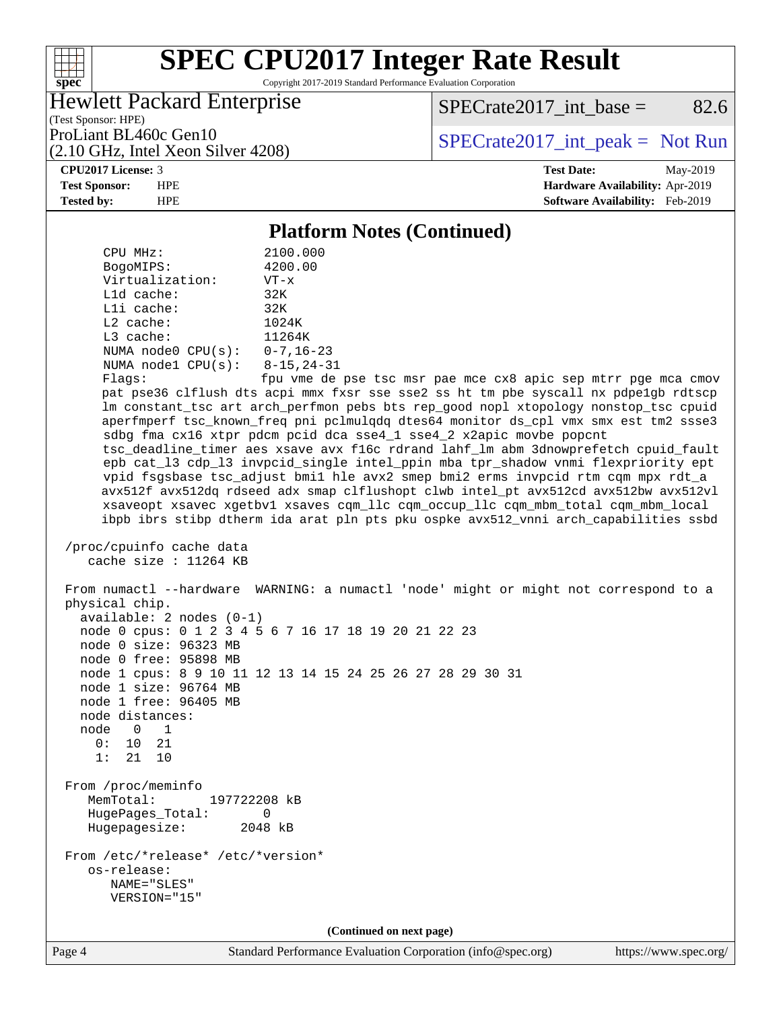

Copyright 2017-2019 Standard Performance Evaluation Corporation

# Hewlett Packard Enterprise

 $SPECTate2017\_int\_base =$  82.6

(Test Sponsor: HPE) (2.10 GHz, Intel Xeon Silver 4208)

ProLiant BL460c Gen10<br>  $SPECTA 10$  [SPECrate2017\\_int\\_peak =](http://www.spec.org/auto/cpu2017/Docs/result-fields.html#SPECrate2017intpeak) Not Run

**[CPU2017 License:](http://www.spec.org/auto/cpu2017/Docs/result-fields.html#CPU2017License)** 3 **[Test Date:](http://www.spec.org/auto/cpu2017/Docs/result-fields.html#TestDate)** May-2019 **[Test Sponsor:](http://www.spec.org/auto/cpu2017/Docs/result-fields.html#TestSponsor)** HPE **[Hardware Availability:](http://www.spec.org/auto/cpu2017/Docs/result-fields.html#HardwareAvailability)** Apr-2019 **[Tested by:](http://www.spec.org/auto/cpu2017/Docs/result-fields.html#Testedby)** HPE **[Software Availability:](http://www.spec.org/auto/cpu2017/Docs/result-fields.html#SoftwareAvailability)** Feb-2019

### **[Platform Notes \(Continued\)](http://www.spec.org/auto/cpu2017/Docs/result-fields.html#PlatformNotes)**

 CPU MHz: 2100.000 BogoMIPS: 4200.00 Virtualization: VT-x L1d cache: 32K L1i cache: 32K L2 cache: 1024K L3 cache: 11264K NUMA node0 CPU(s): 0-7,16-23 NUMA node1 CPU(s): 8-15,24-31 Flags: fpu vme de pse tsc msr pae mce cx8 apic sep mtrr pge mca cmov pat pse36 clflush dts acpi mmx fxsr sse sse2 ss ht tm pbe syscall nx pdpe1gb rdtscp lm constant\_tsc art arch\_perfmon pebs bts rep\_good nopl xtopology nonstop\_tsc cpuid aperfmperf tsc\_known\_freq pni pclmulqdq dtes64 monitor ds\_cpl vmx smx est tm2 ssse3 sdbg fma cx16 xtpr pdcm pcid dca sse4\_1 sse4\_2 x2apic movbe popcnt tsc\_deadline\_timer aes xsave avx f16c rdrand lahf\_lm abm 3dnowprefetch cpuid\_fault epb cat\_l3 cdp\_l3 invpcid\_single intel\_ppin mba tpr\_shadow vnmi flexpriority ept vpid fsgsbase tsc\_adjust bmi1 hle avx2 smep bmi2 erms invpcid rtm cqm mpx rdt\_a avx512f avx512dq rdseed adx smap clflushopt clwb intel\_pt avx512cd avx512bw avx512vl xsaveopt xsavec xgetbv1 xsaves cqm\_llc cqm\_occup\_llc cqm\_mbm\_total cqm\_mbm\_local ibpb ibrs stibp dtherm ida arat pln pts pku ospke avx512\_vnni arch\_capabilities ssbd /proc/cpuinfo cache data cache size : 11264 KB From numactl --hardware WARNING: a numactl 'node' might or might not correspond to a physical chip. available: 2 nodes (0-1) node 0 cpus: 0 1 2 3 4 5 6 7 16 17 18 19 20 21 22 23 node 0 size: 96323 MB node 0 free: 95898 MB node 1 cpus: 8 9 10 11 12 13 14 15 24 25 26 27 28 29 30 31 node 1 size: 96764 MB node 1 free: 96405 MB node distances: node 0 1 0: 10 21 1: 21 10 From /proc/meminfo MemTotal: 197722208 kB HugePages\_Total: 0 Hugepagesize: 2048 kB From /etc/\*release\* /etc/\*version\* os-release: NAME="SLES" VERSION="15" **(Continued on next page)**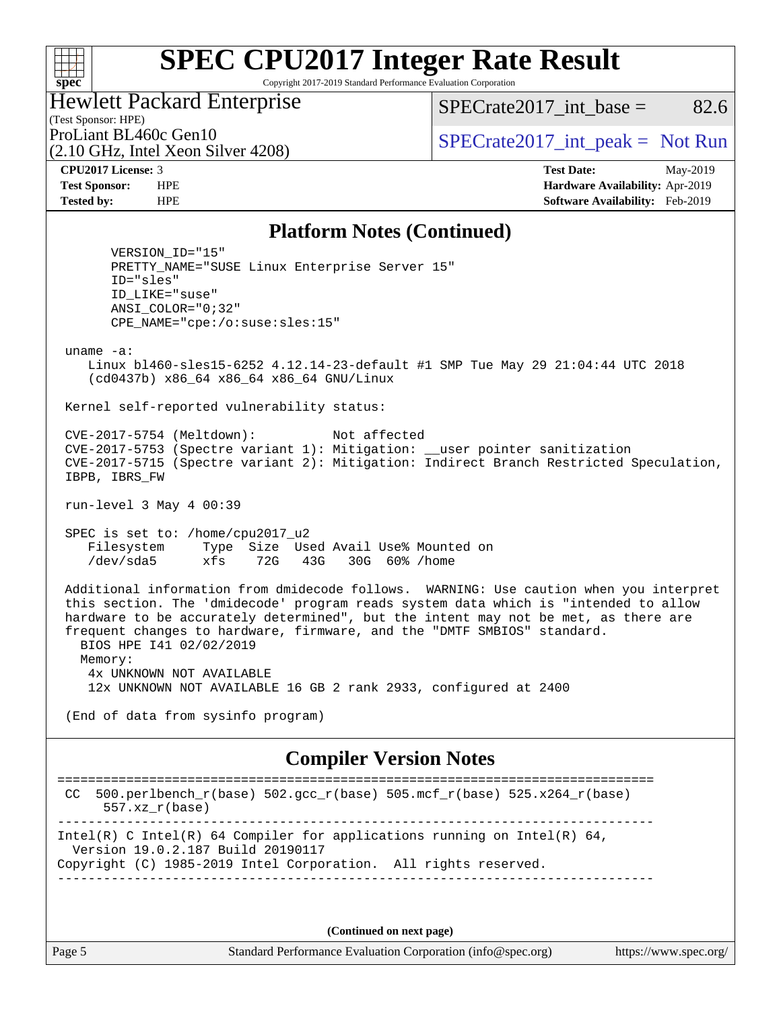Copyright 2017-2019 Standard Performance Evaluation Corporation

Hewlett Packard Enterprise

 $SPECTate2017\_int\_base = 82.6$ 

(Test Sponsor: HPE) (2.10 GHz, Intel Xeon Silver 4208)

ProLiant BL460c Gen10  $SPECTA = 10$   $SPECTA = 2017$  int peak = Not Run

**[spec](http://www.spec.org/)**

 $+\hskip -1.5pt +\hskip -1.5pt +$ 

**[CPU2017 License:](http://www.spec.org/auto/cpu2017/Docs/result-fields.html#CPU2017License)** 3 **[Test Date:](http://www.spec.org/auto/cpu2017/Docs/result-fields.html#TestDate)** May-2019 **[Test Sponsor:](http://www.spec.org/auto/cpu2017/Docs/result-fields.html#TestSponsor)** HPE **[Hardware Availability:](http://www.spec.org/auto/cpu2017/Docs/result-fields.html#HardwareAvailability)** Apr-2019 **[Tested by:](http://www.spec.org/auto/cpu2017/Docs/result-fields.html#Testedby)** HPE **[Software Availability:](http://www.spec.org/auto/cpu2017/Docs/result-fields.html#SoftwareAvailability)** Feb-2019

### **[Platform Notes \(Continued\)](http://www.spec.org/auto/cpu2017/Docs/result-fields.html#PlatformNotes)**

 VERSION\_ID="15" PRETTY\_NAME="SUSE Linux Enterprise Server 15" ID="sles" ID\_LIKE="suse" ANSI\_COLOR="0;32" CPE\_NAME="cpe:/o:suse:sles:15" uname -a: Linux bl460-sles15-6252 4.12.14-23-default #1 SMP Tue May 29 21:04:44 UTC 2018 (cd0437b) x86\_64 x86\_64 x86\_64 GNU/Linux Kernel self-reported vulnerability status: CVE-2017-5754 (Meltdown): Not affected CVE-2017-5753 (Spectre variant 1): Mitigation: \_\_user pointer sanitization CVE-2017-5715 (Spectre variant 2): Mitigation: Indirect Branch Restricted Speculation, IBPB, IBRS\_FW run-level 3 May 4 00:39

 SPEC is set to: /home/cpu2017\_u2 Filesystem Type Size Used Avail Use% Mounted on /dev/sda5 xfs 72G 43G 30G 60% /home

 Additional information from dmidecode follows. WARNING: Use caution when you interpret this section. The 'dmidecode' program reads system data which is "intended to allow hardware to be accurately determined", but the intent may not be met, as there are frequent changes to hardware, firmware, and the "DMTF SMBIOS" standard. BIOS HPE I41 02/02/2019 Memory: 4x UNKNOWN NOT AVAILABLE 12x UNKNOWN NOT AVAILABLE 16 GB 2 rank 2933, configured at 2400

(End of data from sysinfo program)

# **[Compiler Version Notes](http://www.spec.org/auto/cpu2017/Docs/result-fields.html#CompilerVersionNotes)**

```
==============================================================================
 CC 500.perlbench_r(base) 502.\text{gcc\_r}(base) 505.\text{mcf\_r}(base) 525.\text{x}264_\text{r}(base)
       557.xz_r(base)
                                   ------------------------------------------------------------------------------
Intel(R) C Intel(R) 64 Compiler for applications running on Intel(R) 64,
   Version 19.0.2.187 Build 20190117
Copyright (C) 1985-2019 Intel Corporation. All rights reserved.
------------------------------------------------------------------------------
```
**(Continued on next page)**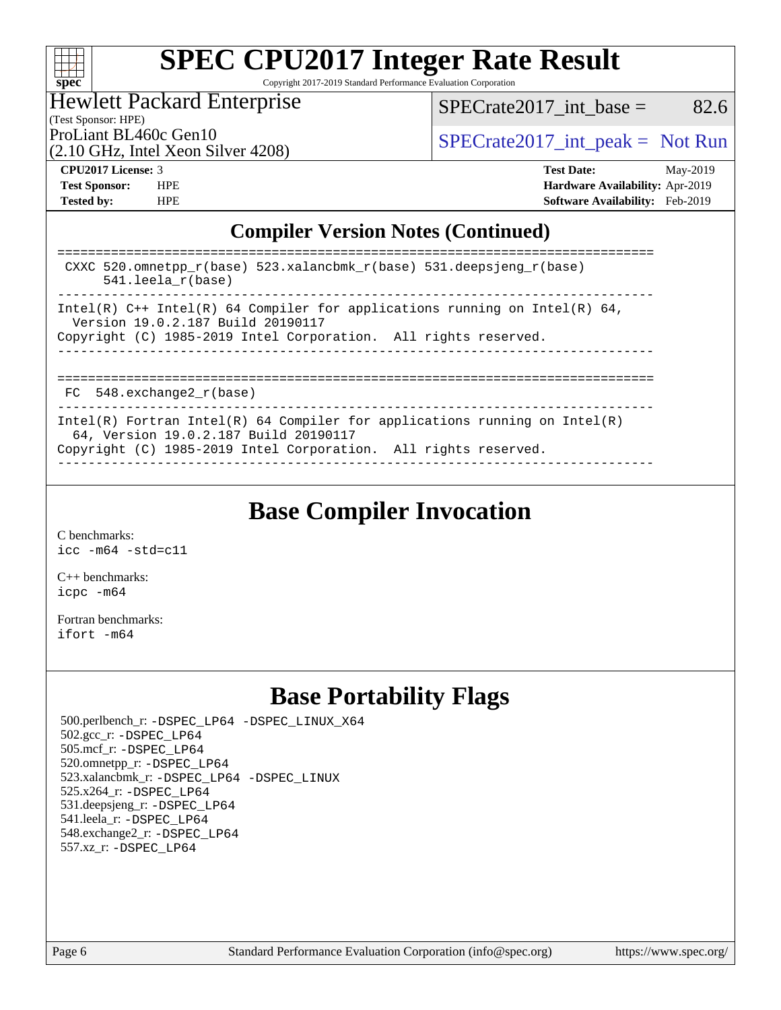

Copyright 2017-2019 Standard Performance Evaluation Corporation

### Hewlett Packard Enterprise

(Test Sponsor: HPE)

 $SPECTate2017\_int\_base =$  82.6

(2.10 GHz, Intel Xeon Silver 4208)

ProLiant BL460c Gen10<br>  $SPECTA 10$  [SPECrate2017\\_int\\_peak =](http://www.spec.org/auto/cpu2017/Docs/result-fields.html#SPECrate2017intpeak) Not Run

**[CPU2017 License:](http://www.spec.org/auto/cpu2017/Docs/result-fields.html#CPU2017License)** 3 **[Test Date:](http://www.spec.org/auto/cpu2017/Docs/result-fields.html#TestDate)** May-2019 **[Test Sponsor:](http://www.spec.org/auto/cpu2017/Docs/result-fields.html#TestSponsor)** HPE **[Hardware Availability:](http://www.spec.org/auto/cpu2017/Docs/result-fields.html#HardwareAvailability)** Apr-2019 **[Tested by:](http://www.spec.org/auto/cpu2017/Docs/result-fields.html#Testedby)** HPE **[Software Availability:](http://www.spec.org/auto/cpu2017/Docs/result-fields.html#SoftwareAvailability)** Feb-2019

## **[Compiler Version Notes \(Continued\)](http://www.spec.org/auto/cpu2017/Docs/result-fields.html#CompilerVersionNotes)**

| CXXC 520.omnetpp $r(base)$ 523.xalancbmk $r(base)$ 531.deepsjeng $r(base)$<br>$541.$ leela r(base)                                                                                     |
|----------------------------------------------------------------------------------------------------------------------------------------------------------------------------------------|
| Intel(R) C++ Intel(R) 64 Compiler for applications running on Intel(R) 64,<br>Version 19.0.2.187 Build 20190117<br>Copyright (C) 1985-2019 Intel Corporation. All rights reserved.     |
| FC 548. exchange2 r(base)                                                                                                                                                              |
| Intel(R) Fortran Intel(R) 64 Compiler for applications running on Intel(R)<br>64, Version 19.0.2.187 Build 20190117<br>Copyright (C) 1985-2019 Intel Corporation. All rights reserved. |

# **[Base Compiler Invocation](http://www.spec.org/auto/cpu2017/Docs/result-fields.html#BaseCompilerInvocation)**

[C benchmarks](http://www.spec.org/auto/cpu2017/Docs/result-fields.html#Cbenchmarks): [icc -m64 -std=c11](http://www.spec.org/cpu2017/results/res2019q2/cpu2017-20190514-14022.flags.html#user_CCbase_intel_icc_64bit_c11_33ee0cdaae7deeeab2a9725423ba97205ce30f63b9926c2519791662299b76a0318f32ddfffdc46587804de3178b4f9328c46fa7c2b0cd779d7a61945c91cd35)

[C++ benchmarks:](http://www.spec.org/auto/cpu2017/Docs/result-fields.html#CXXbenchmarks) [icpc -m64](http://www.spec.org/cpu2017/results/res2019q2/cpu2017-20190514-14022.flags.html#user_CXXbase_intel_icpc_64bit_4ecb2543ae3f1412ef961e0650ca070fec7b7afdcd6ed48761b84423119d1bf6bdf5cad15b44d48e7256388bc77273b966e5eb805aefd121eb22e9299b2ec9d9)

[Fortran benchmarks](http://www.spec.org/auto/cpu2017/Docs/result-fields.html#Fortranbenchmarks): [ifort -m64](http://www.spec.org/cpu2017/results/res2019q2/cpu2017-20190514-14022.flags.html#user_FCbase_intel_ifort_64bit_24f2bb282fbaeffd6157abe4f878425411749daecae9a33200eee2bee2fe76f3b89351d69a8130dd5949958ce389cf37ff59a95e7a40d588e8d3a57e0c3fd751)

# **[Base Portability Flags](http://www.spec.org/auto/cpu2017/Docs/result-fields.html#BasePortabilityFlags)**

 500.perlbench\_r: [-DSPEC\\_LP64](http://www.spec.org/cpu2017/results/res2019q2/cpu2017-20190514-14022.flags.html#b500.perlbench_r_basePORTABILITY_DSPEC_LP64) [-DSPEC\\_LINUX\\_X64](http://www.spec.org/cpu2017/results/res2019q2/cpu2017-20190514-14022.flags.html#b500.perlbench_r_baseCPORTABILITY_DSPEC_LINUX_X64) 502.gcc\_r: [-DSPEC\\_LP64](http://www.spec.org/cpu2017/results/res2019q2/cpu2017-20190514-14022.flags.html#suite_basePORTABILITY502_gcc_r_DSPEC_LP64) 505.mcf\_r: [-DSPEC\\_LP64](http://www.spec.org/cpu2017/results/res2019q2/cpu2017-20190514-14022.flags.html#suite_basePORTABILITY505_mcf_r_DSPEC_LP64) 520.omnetpp\_r: [-DSPEC\\_LP64](http://www.spec.org/cpu2017/results/res2019q2/cpu2017-20190514-14022.flags.html#suite_basePORTABILITY520_omnetpp_r_DSPEC_LP64) 523.xalancbmk\_r: [-DSPEC\\_LP64](http://www.spec.org/cpu2017/results/res2019q2/cpu2017-20190514-14022.flags.html#suite_basePORTABILITY523_xalancbmk_r_DSPEC_LP64) [-DSPEC\\_LINUX](http://www.spec.org/cpu2017/results/res2019q2/cpu2017-20190514-14022.flags.html#b523.xalancbmk_r_baseCXXPORTABILITY_DSPEC_LINUX) 525.x264\_r: [-DSPEC\\_LP64](http://www.spec.org/cpu2017/results/res2019q2/cpu2017-20190514-14022.flags.html#suite_basePORTABILITY525_x264_r_DSPEC_LP64) 531.deepsjeng\_r: [-DSPEC\\_LP64](http://www.spec.org/cpu2017/results/res2019q2/cpu2017-20190514-14022.flags.html#suite_basePORTABILITY531_deepsjeng_r_DSPEC_LP64) 541.leela\_r: [-DSPEC\\_LP64](http://www.spec.org/cpu2017/results/res2019q2/cpu2017-20190514-14022.flags.html#suite_basePORTABILITY541_leela_r_DSPEC_LP64) 548.exchange2\_r: [-DSPEC\\_LP64](http://www.spec.org/cpu2017/results/res2019q2/cpu2017-20190514-14022.flags.html#suite_basePORTABILITY548_exchange2_r_DSPEC_LP64) 557.xz\_r: [-DSPEC\\_LP64](http://www.spec.org/cpu2017/results/res2019q2/cpu2017-20190514-14022.flags.html#suite_basePORTABILITY557_xz_r_DSPEC_LP64)